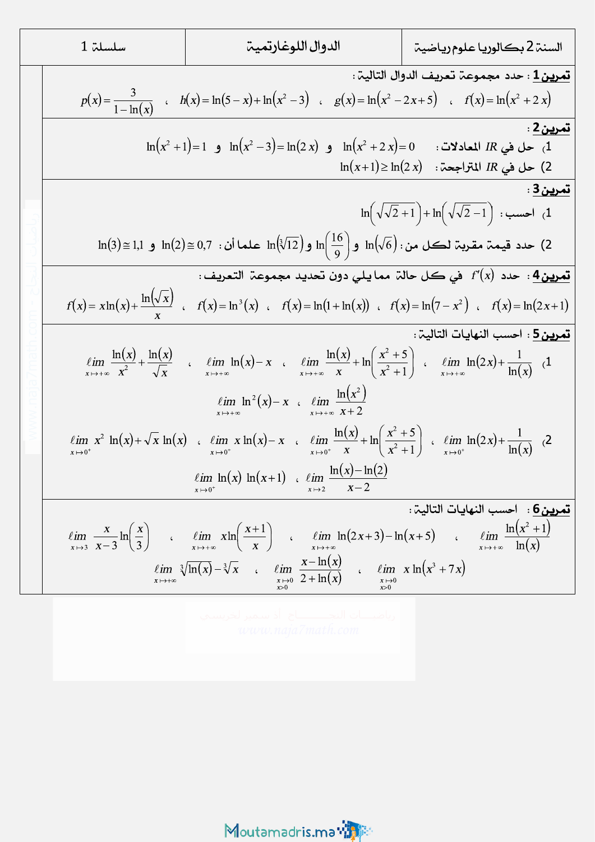| 1.7.4                                                        | 1.7.4                                                        |                                                              |                                                         |                                                         |                                                     |                                                                            |
|--------------------------------------------------------------|--------------------------------------------------------------|--------------------------------------------------------------|---------------------------------------------------------|---------------------------------------------------------|-----------------------------------------------------|----------------------------------------------------------------------------|
| \n $p(x) = \frac{3}{1 - \ln(x)}$ \n                          | \n $h(x) = \ln(5 - x) + \ln(x^2 - 3)$ \n                     | \n $g(x) = \ln(x^2 - 2x + 5)$ \n                             | \n $f(x) = \ln(x^2 + 2x)$ \n                            |                                                         |                                                     |                                                                            |
| \n $\ln(x^2 + 1) = 1$ \n                                     | \n $\ln(x^2 - 3) = \ln(2x)$ \n                               | \n $\ln(x^2 + 2x) = 0$ \n                                    | \n $\ln(x^2 + 2x) = 0$ \n                               | \n $\frac{2 \cdot 2 \cdot 2 \cdot 2}{\ln(x^2 + 2x)}$ \n |                                                     |                                                                            |
| \n $\ln(3) = 1,1$ \n                                         | \n $\ln(2) = 0,7$ \n                                         | \n $\ln(\sqrt[3]{12}) = \ln(2x)$ \n                          | \n $\ln(\sqrt[3]{2} - 1) + \ln(\sqrt{\sqrt{2} - 1})$ \n | \n $\frac{1}{\ln(2 + 1)} = \ln(\sqrt[3]{2})$ \n         | \n $\ln(\sqrt[3]{2} - 1) + \ln(\sqrt[3]{2 - 1})$ \n | \n $\frac{1}{\ln(2 + 1)} = \frac{1}{\ln(2 + 1)} = \frac{1}{\ln(2 + 1)}$ \n |
| \n $\lim_{x \to 0^+} \frac{\ln(x)}{x} = \frac{\ln(x)}{x}$ \n | \n $\lim_{x \to 0^+} \frac{\ln(x)}{x} = \frac{\ln(x)}{x}$ \n | \n $\lim_{x \to 0^+} \frac{\ln(x)}{x} = \frac{\ln(x)}{x}$ \n | \n $\lim_{x \to 0^$                                     |                                                         |                                                     |                                                                            |

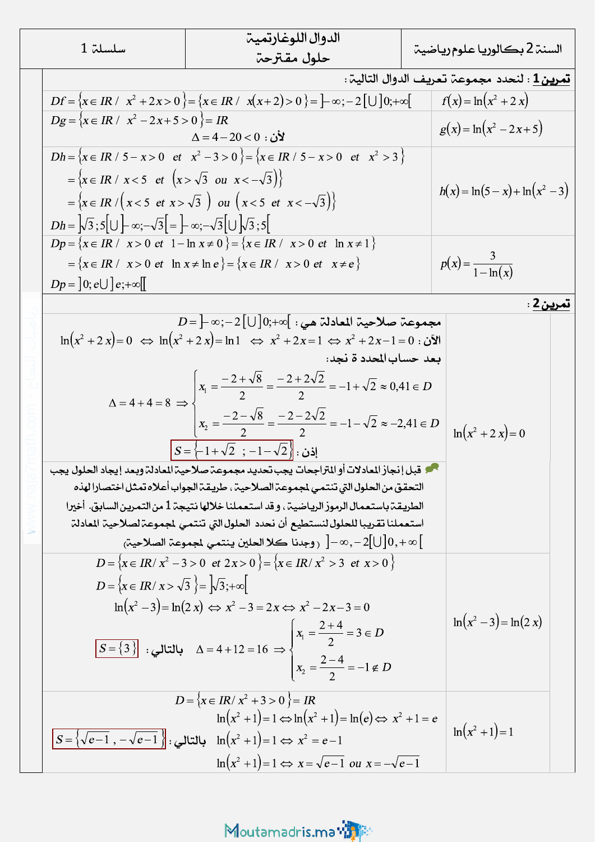| سلسلة 1 |                                                                                                                                                                                                                                                                                                                                                                                                                                                                                                                                                                                                                                                                                                                                                                                                                                                                                               | الدوال اللوغارتمية                                                         | السنۃ 2 بكالوريا علوم رياضيۃ                               |                                |  |
|---------|-----------------------------------------------------------------------------------------------------------------------------------------------------------------------------------------------------------------------------------------------------------------------------------------------------------------------------------------------------------------------------------------------------------------------------------------------------------------------------------------------------------------------------------------------------------------------------------------------------------------------------------------------------------------------------------------------------------------------------------------------------------------------------------------------------------------------------------------------------------------------------------------------|----------------------------------------------------------------------------|------------------------------------------------------------|--------------------------------|--|
|         |                                                                                                                                                                                                                                                                                                                                                                                                                                                                                                                                                                                                                                                                                                                                                                                                                                                                                               | حلول مقترحة                                                                |                                                            |                                |  |
|         |                                                                                                                                                                                                                                                                                                                                                                                                                                                                                                                                                                                                                                                                                                                                                                                                                                                                                               |                                                                            | <mark>تمرين 1</mark> : لنحدد مجموعة تعريف الدوال التالية : |                                |  |
|         | $Df = \{x \in IR / \, x^2 + 2x > 0\} = \{x \in IR / \, x(x+2) > 0\} = \frac{1}{2} \infty; -2 \, [\cup] 0; +\infty$                                                                                                                                                                                                                                                                                                                                                                                                                                                                                                                                                                                                                                                                                                                                                                            |                                                                            |                                                            | $f(x) = \ln(x^2 + 2x)$         |  |
|         | $Dg = \{x \in IR / x^2 - 2x + 5 > 0\} = IR$                                                                                                                                                                                                                                                                                                                                                                                                                                                                                                                                                                                                                                                                                                                                                                                                                                                   | $\Delta = 4 - 20 < 0$ : لأن                                                |                                                            | $g(x) = \ln(x^2 - 2x + 5)$     |  |
|         | $Dh = \{x \in IR / 5 - x > 0 \text{ et } x^2 - 3 > 0 \} = \{x \in IR / 5 - x > 0 \text{ et } x^2 > 3 \}$                                                                                                                                                                                                                                                                                                                                                                                                                                                                                                                                                                                                                                                                                                                                                                                      |                                                                            |                                                            |                                |  |
|         | $=\left\{x\in IR\ /\ x<5\ \text{et}\ \left(x>\sqrt{3}\ \text{ou}\ x<-\sqrt{3}\right)\right\}$                                                                                                                                                                                                                                                                                                                                                                                                                                                                                                                                                                                                                                                                                                                                                                                                 |                                                                            |                                                            |                                |  |
|         | $=\{x \in IR / (x < 5 \text{ et } x > \sqrt{3}) \text{ ou } (x < 5 \text{ et } x < -\sqrt{3})\}$                                                                                                                                                                                                                                                                                                                                                                                                                                                                                                                                                                                                                                                                                                                                                                                              |                                                                            |                                                            | $h(x) = \ln(5-x) + \ln(x^2-3)$ |  |
|         | $Dh =  \sqrt{3}; 5  \cup \left  -\infty; -\sqrt{3} \right  =  \infty; -\sqrt{3}  \cup  \sqrt{3}; 5 $<br>$Dp = \{x \in IR / x > 0 \text{ et } 1 - \ln x \neq 0\} = \{x \in IR / x > 0 \text{ et } \ln x \neq 1\}$                                                                                                                                                                                                                                                                                                                                                                                                                                                                                                                                                                                                                                                                              |                                                                            |                                                            |                                |  |
|         |                                                                                                                                                                                                                                                                                                                                                                                                                                                                                                                                                                                                                                                                                                                                                                                                                                                                                               |                                                                            |                                                            |                                |  |
|         | $=\{x \in IR / x > 0 \text{ et } \ln x \neq \ln e\} = \{x \in IR / x > 0 \text{ et } x \neq e\}$<br>$Dp = [0; e \cup e; +\infty]$                                                                                                                                                                                                                                                                                                                                                                                                                                                                                                                                                                                                                                                                                                                                                             |                                                                            |                                                            | $p(x) = \frac{3}{1 - \ln(x)}$  |  |
|         |                                                                                                                                                                                                                                                                                                                                                                                                                                                                                                                                                                                                                                                                                                                                                                                                                                                                                               |                                                                            |                                                            |                                |  |
|         |                                                                                                                                                                                                                                                                                                                                                                                                                                                                                                                                                                                                                                                                                                                                                                                                                                                                                               | تمرين Z :                                                                  |                                                            |                                |  |
|         | $D\!=\!\left]-\infty;-2\big[\cup\left]0;+\infty\right[$ مجموعة صلاحية المعادلة هي<br>$\ln(x^2 + 2x) = 0 \Leftrightarrow \ln(x^2 + 2x) = \ln 1 \Leftrightarrow x^2 + 2x = 1 \Leftrightarrow x^2 + 2x - 1 = 0$<br>بعد حساب المحدد ة نجد:<br>$\Delta = 4 + 4 = 8 \implies x_1 = \frac{-2 + \sqrt{8}}{2} = \frac{-2 + 2\sqrt{2}}{2} = -1 + \sqrt{2} \approx 0,41 \in D$<br>$x_2 = \frac{-2 - \sqrt{8}}{2} = \frac{-2 - 2\sqrt{2}}{2} = -1 - \sqrt{2} \approx -2,41 \in D$<br>$\left S = \left\{-1 + \sqrt{2} \right\}$ : إذن<br>محم قبل إنجاز المادلات أو المتراجحات يجب تحديد مجموعة صلاحية المعادلة وبعد إيجاد الحلول يجب<br>التحقق من الحلول التي تنتمي لمجموعة الصلاحية ، طريقة الجواب أعلاه تمثل اختصارا لهذه<br>الطريقة باستعمال الرموز الرياضية ، و قد استعملنا خلالها نتيجة 1 من التمرين السابق. أخيرا<br>استعملنا تقريبا للحلول لنستطيع أن نحدد الحلول التي تنتمي لجموعة لصلاحية المادلة |                                                                            |                                                            | $\ln(x^2 + 2x) = 0$            |  |
|         |                                                                                                                                                                                                                                                                                                                                                                                                                                                                                                                                                                                                                                                                                                                                                                                                                                                                                               |                                                                            |                                                            |                                |  |
|         |                                                                                                                                                                                                                                                                                                                                                                                                                                                                                                                                                                                                                                                                                                                                                                                                                                                                                               |                                                                            |                                                            |                                |  |
|         |                                                                                                                                                                                                                                                                                                                                                                                                                                                                                                                                                                                                                                                                                                                                                                                                                                                                                               |                                                                            |                                                            |                                |  |
|         |                                                                                                                                                                                                                                                                                                                                                                                                                                                                                                                                                                                                                                                                                                                                                                                                                                                                                               |                                                                            |                                                            |                                |  |
|         |                                                                                                                                                                                                                                                                                                                                                                                                                                                                                                                                                                                                                                                                                                                                                                                                                                                                                               |                                                                            |                                                            |                                |  |
|         |                                                                                                                                                                                                                                                                                                                                                                                                                                                                                                                                                                                                                                                                                                                                                                                                                                                                                               |                                                                            |                                                            |                                |  |
|         |                                                                                                                                                                                                                                                                                                                                                                                                                                                                                                                                                                                                                                                                                                                                                                                                                                                                                               |                                                                            |                                                            |                                |  |
|         |                                                                                                                                                                                                                                                                                                                                                                                                                                                                                                                                                                                                                                                                                                                                                                                                                                                                                               |                                                                            |                                                            |                                |  |
|         |                                                                                                                                                                                                                                                                                                                                                                                                                                                                                                                                                                                                                                                                                                                                                                                                                                                                                               |                                                                            |                                                            |                                |  |
|         |                                                                                                                                                                                                                                                                                                                                                                                                                                                                                                                                                                                                                                                                                                                                                                                                                                                                                               |                                                                            |                                                            |                                |  |
|         |                                                                                                                                                                                                                                                                                                                                                                                                                                                                                                                                                                                                                                                                                                                                                                                                                                                                                               | ر وجدنا كلا الحلين ينتمي لمجموعة الصلاحية $]-\infty,-2[\bigcup]0,+\infty[$ |                                                            |                                |  |
|         | $D = \{x \in IR / x^2 - 3 > 0 \text{ et } 2x > 0 \} = \{x \in IR / x^2 > 3 \text{ et } x > 0 \}$                                                                                                                                                                                                                                                                                                                                                                                                                                                                                                                                                                                                                                                                                                                                                                                              |                                                                            |                                                            |                                |  |
|         | $D = \{x \in IR / x > \sqrt{3}\}\ = \sqrt{3};+\infty$<br>$\ln(x^2-3) = \ln(2x) \Leftrightarrow x^2 - 3 = 2x \Leftrightarrow x^2 - 2x - 3 = 0$<br>$S = \{3\}$ : بالتالي $\Delta = 4 + 12 = 16 \Rightarrow \begin{cases} x_1 = \frac{2+4}{2} = 3 \in D \\ x_2 = \frac{2-4}{2} = -1 \notin D \end{cases}$                                                                                                                                                                                                                                                                                                                                                                                                                                                                                                                                                                                        |                                                                            |                                                            |                                |  |
|         |                                                                                                                                                                                                                                                                                                                                                                                                                                                                                                                                                                                                                                                                                                                                                                                                                                                                                               |                                                                            |                                                            |                                |  |
|         |                                                                                                                                                                                                                                                                                                                                                                                                                                                                                                                                                                                                                                                                                                                                                                                                                                                                                               |                                                                            |                                                            | $\ln(x^2-3) = \ln(2 x)$        |  |
|         |                                                                                                                                                                                                                                                                                                                                                                                                                                                                                                                                                                                                                                                                                                                                                                                                                                                                                               |                                                                            |                                                            |                                |  |
|         |                                                                                                                                                                                                                                                                                                                                                                                                                                                                                                                                                                                                                                                                                                                                                                                                                                                                                               |                                                                            |                                                            |                                |  |
|         |                                                                                                                                                                                                                                                                                                                                                                                                                                                                                                                                                                                                                                                                                                                                                                                                                                                                                               | $D = \{x \in IR / x^2 + 3 > 0\} = IR$                                      |                                                            |                                |  |
|         | $\ln(x^2+1)=1 \Leftrightarrow \ln(x^2+1)=\ln(e) \Leftrightarrow x^2+1=e$<br>$\boxed{S = \left\{ \sqrt{e-1}, \ -\sqrt{e-1} \ \right\} }$ بالتالي : $\ln(x^2 + 1) = 1 \Leftrightarrow x^2 = e-1$                                                                                                                                                                                                                                                                                                                                                                                                                                                                                                                                                                                                                                                                                                |                                                                            |                                                            | $\ln(x^2+1)=1$                 |  |
|         |                                                                                                                                                                                                                                                                                                                                                                                                                                                                                                                                                                                                                                                                                                                                                                                                                                                                                               |                                                                            |                                                            |                                |  |
|         |                                                                                                                                                                                                                                                                                                                                                                                                                                                                                                                                                                                                                                                                                                                                                                                                                                                                                               | $\ln(x^2+1)=1 \Leftrightarrow x=\sqrt{e-1}$ ou $x=-\sqrt{e-1}$             |                                                            |                                |  |

Moutamadris.ma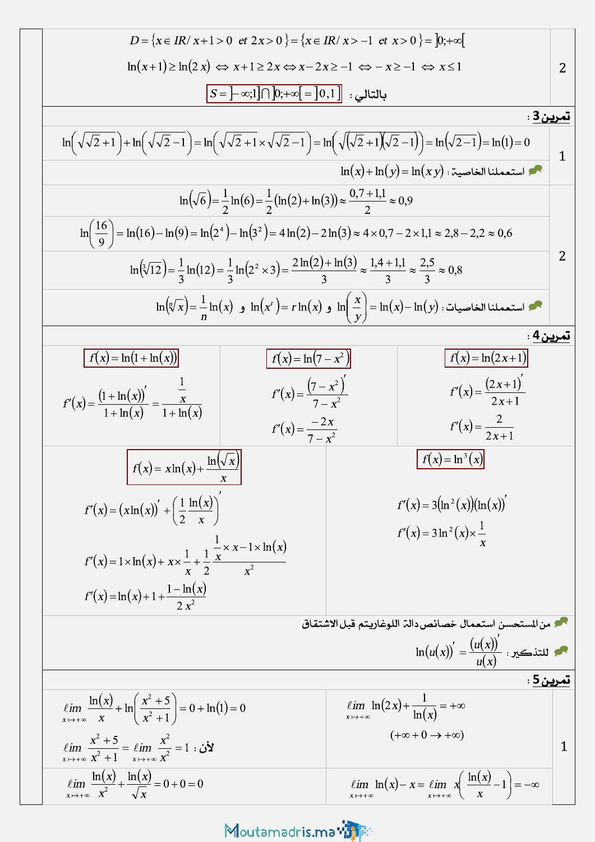$$
D = \{x \in IR / x + 1 > 0 \text{ et } 2x > 0\} = \{x \in IR / x > -1 \text{ et } x > 0\} = \{y \in \infty\}
$$
\n
$$
\ln(x+1) \ge \ln(2x) \Leftrightarrow x+1 \ge 2x \Leftrightarrow x-2x \ge -1 \Leftrightarrow x \ge -1 \Leftrightarrow x \le 1
$$
\n
$$
\boxed{S = ]-\alpha;1] \cap [y + \alpha;1] = [0,1]}
$$
\n
$$
\frac{1}{\sqrt{5}} \cdot \frac{1}{\sqrt{2}+1} \cdot \ln(\sqrt{\sqrt{2}-1}) - \ln(\sqrt{\sqrt{2}+1} \times \sqrt{\sqrt{2}-1}) - \ln(\sqrt{(\sqrt{2}+1)} \times \sqrt{2}-1) - \ln(\sqrt{2}-1) - \ln(1) - 0
$$
\n
$$
\ln(\sqrt{\sqrt{2}+1}) + \ln(\sqrt{\sqrt{2}-1}) - \ln(\sqrt{\sqrt{2}+1} \times \sqrt{\sqrt{2}-1}) - \ln(\sqrt{(\sqrt{2}+1)} \times \sqrt{2}-1) - \ln(1) - 0
$$
\n
$$
\ln(\sqrt{\sqrt{6}}) = \frac{1}{2} \ln(6) = \frac{1}{2} (\ln(2) + \ln(3)) \approx \frac{0.7 + 1.1}{2} \approx 0.9
$$
\n
$$
\ln(\sqrt[3]{12}) = \frac{1}{3} \ln(12) = \frac{1}{3} \ln(2^3 \times 3) = \frac{2 \ln(2) + \ln(3)}{3} \approx \frac{1.4 + 1.1}{3} \approx \frac{2.5}{3} \approx 0.8
$$
\n
$$
\ln(\sqrt[3]{12}) = \frac{1}{3} \ln(12) = \frac{1}{3} \ln(2^3 \times 3) = \frac{2 \ln(2) + \ln(3)}{3} \approx \frac{1.4 + 1.1}{3} \approx \frac{2.5}{3} \approx 0.8
$$
\n
$$
\ln(\sqrt[3]{2}) = \frac{1}{3} \ln(12) = \frac{1}{3} \ln(2^3 \times 3) = \frac{2 \ln(2) + \ln(3)}{3} \approx \frac{1.4 + 1.1}{3} \approx \frac{2.5}{3} \approx 0.8
$$
\n $$ 

## Moutamadris.ma